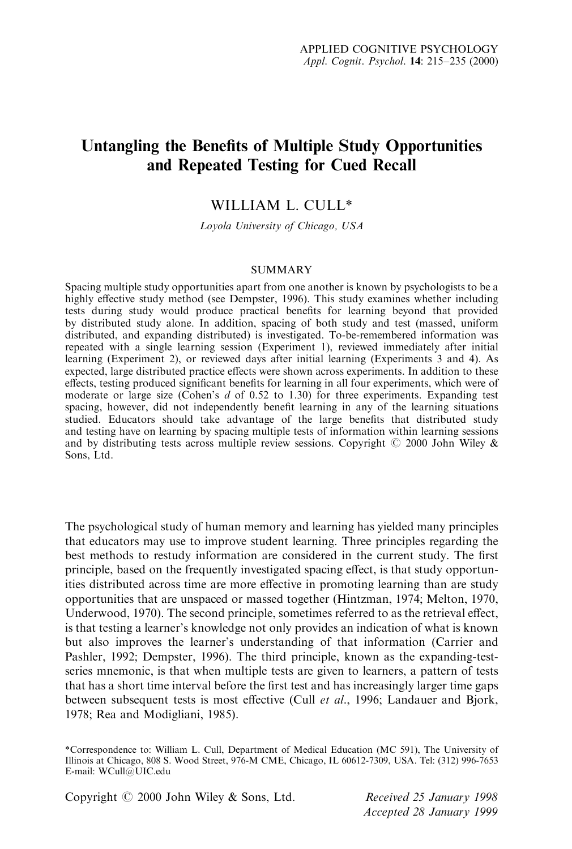# Untangling the Benefits of Multiple Study Opportunities and Repeated Testing for Cued Recall

## WILLIAM L. CULL\*

Loyola University of Chicago, USA

#### **SUMMARY**

Spacing multiple study opportunities apart from one another is known by psychologists to be a highly effective study method (see Dempster, 1996). This study examines whether including tests during study would produce practical benefits for learning beyond that provided by distributed study alone. In addition, spacing of both study and test (massed, uniform distributed, and expanding distributed) is investigated. To-be-remembered information was repeated with a single learning session (Experiment 1), reviewed immediately after initial learning (Experiment 2), or reviewed days after initial learning (Experiments 3 and 4). As expected, large distributed practice effects were shown across experiments. In addition to these effects, testing produced significant benefits for learning in all four experiments, which were of moderate or large size (Cohen's  $d$  of 0.52 to 1.30) for three experiments. Expanding test spacing, however, did not independently benefit learning in any of the learning situations studied. Educators should take advantage of the large benefits that distributed study and testing have on learning by spacing multiple tests of information within learning sessions and by distributing tests across multiple review sessions. Copyright  $\odot$  2000 John Wiley & Sons, Ltd.

The psychological study of human memory and learning has yielded many principles that educators may use to improve student learning. Three principles regarding the best methods to restudy information are considered in the current study. The first principle, based on the frequently investigated spacing effect, is that study opportunities distributed across time are more effective in promoting learning than are study opportunities that are unspaced or massed together (Hintzman, 1974; Melton, 1970, Underwood, 1970). The second principle, sometimes referred to as the retrieval effect, is that testing a learner's knowledge not only provides an indication of what is known but also improves the learner's understanding of that information (Carrier and Pashler, 1992; Dempster, 1996). The third principle, known as the expanding-testseries mnemonic, is that when multiple tests are given to learners, a pattern of tests that has a short time interval before the first test and has increasingly larger time gaps between subsequent tests is most effective (Cull et al., 1996; Landauer and Bjork, 1978; Rea and Modigliani, 1985).

\*Correspondence to: William L. Cull, Department of Medical Education (MC 591), The University of Illinois at Chicago, 808 S. Wood Street, 976-M CME, Chicago, IL 60612-7309, USA. Tel: (312) 996-7653 E-mail: WCull@UIC.edu

Copyright  $\odot$  2000 John Wiley & Sons, Ltd. Received 25 January 1998

Accepted 28 January 1999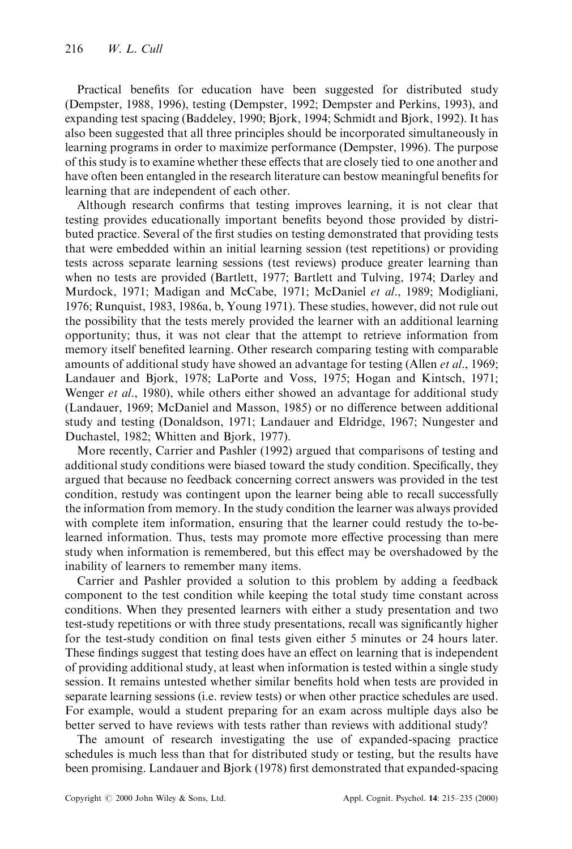Practical benefits for education have been suggested for distributed study (Dempster, 1988, 1996), testing (Dempster, 1992; Dempster and Perkins, 1993), and expanding test spacing (Baddeley, 1990; Bjork, 1994; Schmidt and Bjork, 1992). It has also been suggested that all three principles should be incorporated simultaneously in learning programs in order to maximize performance (Dempster, 1996). The purpose of this study is to examine whether these effects that are closely tied to one another and have often been entangled in the research literature can bestow meaningful benefits for learning that are independent of each other.

Although research confirms that testing improves learning, it is not clear that testing provides educationally important benefits beyond those provided by distributed practice. Several of the first studies on testing demonstrated that providing tests that were embedded within an initial learning session (test repetitions) or providing tests across separate learning sessions (test reviews) produce greater learning than when no tests are provided (Bartlett, 1977; Bartlett and Tulving, 1974; Darley and Murdock, 1971; Madigan and McCabe, 1971; McDaniel et al., 1989; Modigliani, 1976; Runquist, 1983, 1986a, b, Young 1971). These studies, however, did not rule out the possibility that the tests merely provided the learner with an additional learning opportunity; thus, it was not clear that the attempt to retrieve information from memory itself benefited learning. Other research comparing testing with comparable amounts of additional study have showed an advantage for testing (Allen *et al.*, 1969; Landauer and Bjork, 1978; LaPorte and Voss, 1975; Hogan and Kintsch, 1971; Wenger *et al.*, 1980), while others either showed an advantage for additional study (Landauer, 1969; McDaniel and Masson, 1985) or no difference between additional study and testing (Donaldson, 1971; Landauer and Eldridge, 1967; Nungester and Duchastel, 1982; Whitten and Bjork, 1977).

More recently, Carrier and Pashler (1992) argued that comparisons of testing and additional study conditions were biased toward the study condition. Specifically, they argued that because no feedback concerning correct answers was provided in the test condition, restudy was contingent upon the learner being able to recall successfully the information from memory. In the study condition the learner was always provided with complete item information, ensuring that the learner could restudy the to-belearned information. Thus, tests may promote more effective processing than mere study when information is remembered, but this effect may be overshadowed by the inability of learners to remember many items.

Carrier and Pashler provided a solution to this problem by adding a feedback component to the test condition while keeping the total study time constant across conditions. When they presented learners with either a study presentation and two test-study repetitions or with three study presentations, recall was significantly higher for the test-study condition on final tests given either 5 minutes or 24 hours later. These findings suggest that testing does have an effect on learning that is independent of providing additional study, at least when information is tested within a single study session. It remains untested whether similar benefits hold when tests are provided in separate learning sessions (i.e. review tests) or when other practice schedules are used. For example, would a student preparing for an exam across multiple days also be better served to have reviews with tests rather than reviews with additional study?

The amount of research investigating the use of expanded-spacing practice schedules is much less than that for distributed study or testing, but the results have been promising. Landauer and Bjork (1978) first demonstrated that expanded-spacing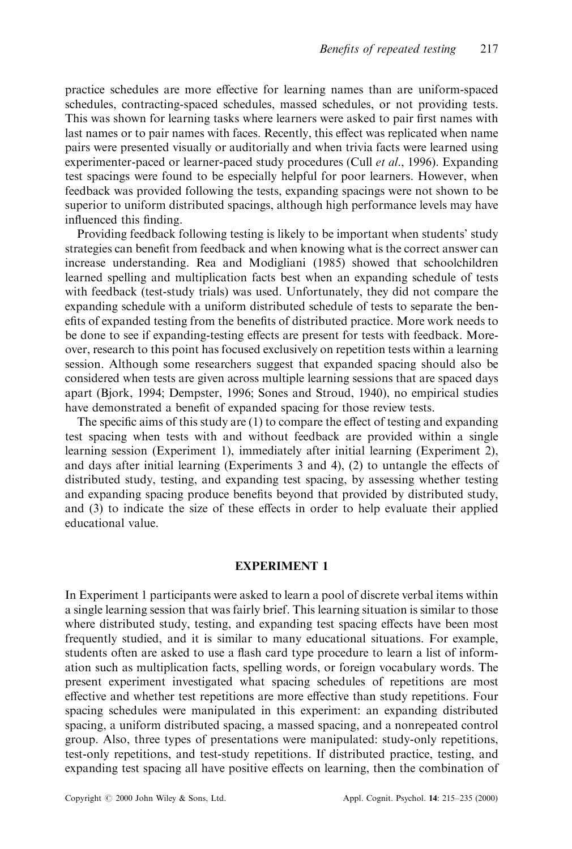practice schedules are more effective for learning names than are uniform-spaced schedules, contracting-spaced schedules, massed schedules, or not providing tests. This was shown for learning tasks where learners were asked to pair first names with last names or to pair names with faces. Recently, this effect was replicated when name pairs were presented visually or auditorially and when trivia facts were learned using experimenter-paced or learner-paced study procedures (Cull *et al.*, 1996). Expanding test spacings were found to be especially helpful for poor learners. However, when feedback was provided following the tests, expanding spacings were not shown to be superior to uniform distributed spacings, although high performance levels may have influenced this finding.

Providing feedback following testing is likely to be important when students' study strategies can benefit from feedback and when knowing what is the correct answer can increase understanding. Rea and Modigliani (1985) showed that schoolchildren learned spelling and multiplication facts best when an expanding schedule of tests with feedback (test-study trials) was used. Unfortunately, they did not compare the expanding schedule with a uniform distributed schedule of tests to separate the benefits of expanded testing from the benefits of distributed practice. More work needs to be done to see if expanding-testing effects are present for tests with feedback. Moreover, research to this point has focused exclusively on repetition tests within a learning session. Although some researchers suggest that expanded spacing should also be considered when tests are given across multiple learning sessions that are spaced days apart (Bjork, 1994; Dempster, 1996; Sones and Stroud, 1940), no empirical studies have demonstrated a benefit of expanded spacing for those review tests.

The specific aims of this study are  $(1)$  to compare the effect of testing and expanding test spacing when tests with and without feedback are provided within a single learning session (Experiment 1), immediately after initial learning (Experiment 2), and days after initial learning (Experiments 3 and 4),  $(2)$  to untangle the effects of distributed study, testing, and expanding test spacing, by assessing whether testing and expanding spacing produce benefits beyond that provided by distributed study, and  $(3)$  to indicate the size of these effects in order to help evaluate their applied educational value.

## EXPERIMENT 1

In Experiment 1 participants were asked to learn a pool of discrete verbal items within a single learning session that was fairly brief. This learning situation is similar to those where distributed study, testing, and expanding test spacing effects have been most frequently studied, and it is similar to many educational situations. For example, students often are asked to use a flash card type procedure to learn a list of information such as multiplication facts, spelling words, or foreign vocabulary words. The present experiment investigated what spacing schedules of repetitions are most effective and whether test repetitions are more effective than study repetitions. Four spacing schedules were manipulated in this experiment: an expanding distributed spacing, a uniform distributed spacing, a massed spacing, and a nonrepeated control group. Also, three types of presentations were manipulated: study-only repetitions, test-only repetitions, and test-study repetitions. If distributed practice, testing, and expanding test spacing all have positive effects on learning, then the combination of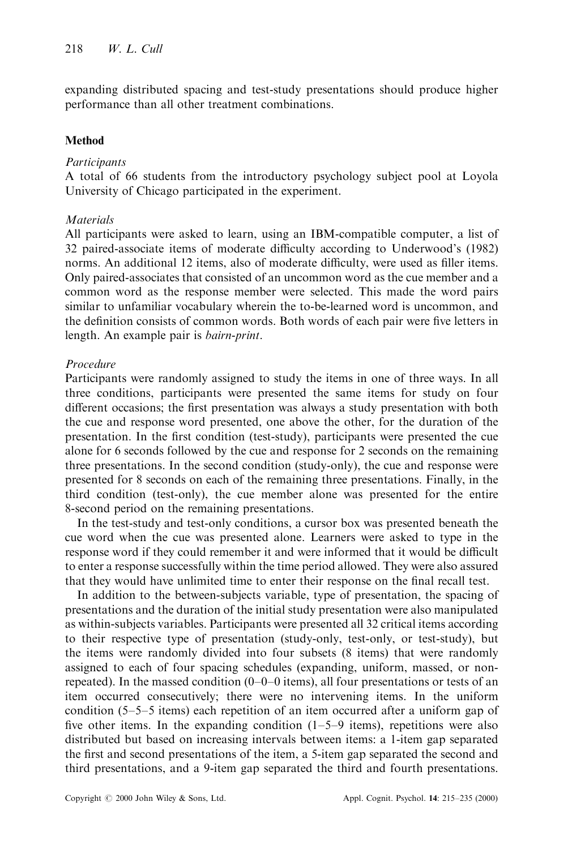expanding distributed spacing and test-study presentations should produce higher performance than all other treatment combinations.

## Method

## **Participants**

A total of 66 students from the introductory psychology subject pool at Loyola University of Chicago participated in the experiment.

## **Materials**

All participants were asked to learn, using an IBM-compatible computer, a list of 32 paired-associate items of moderate difficulty according to Underwood's (1982) norms. An additional 12 items, also of moderate difficulty, were used as filler items. Only paired-associates that consisted of an uncommon word as the cue member and a common word as the response member were selected. This made the word pairs similar to unfamiliar vocabulary wherein the to-be-learned word is uncommon, and the definition consists of common words. Both words of each pair were five letters in length. An example pair is bairn-print.

## Procedure

Participants were randomly assigned to study the items in one of three ways. In all three conditions, participants were presented the same items for study on four different occasions; the first presentation was always a study presentation with both the cue and response word presented, one above the other, for the duration of the presentation. In the first condition (test-study), participants were presented the cue alone for 6 seconds followed by the cue and response for 2 seconds on the remaining three presentations. In the second condition (study-only), the cue and response were presented for 8 seconds on each of the remaining three presentations. Finally, in the third condition (test-only), the cue member alone was presented for the entire 8-second period on the remaining presentations.

In the test-study and test-only conditions, a cursor box was presented beneath the cue word when the cue was presented alone. Learners were asked to type in the response word if they could remember it and were informed that it would be difficult to enter a response successfully within the time period allowed. They were also assured that they would have unlimited time to enter their response on the final recall test.

In addition to the between-subjects variable, type of presentation, the spacing of presentations and the duration of the initial study presentation were also manipulated as within-subjects variables. Participants were presented all 32 critical items according to their respective type of presentation (study-only, test-only, or test-study), but the items were randomly divided into four subsets (8 items) that were randomly assigned to each of four spacing schedules (expanding, uniform, massed, or nonrepeated). In the massed condition  $(0-0-0)$  items), all four presentations or tests of an item occurred consecutively; there were no intervening items. In the uniform condition  $(5-5-5$  items) each repetition of an item occurred after a uniform gap of five other items. In the expanding condition  $(1-5-9)$  items), repetitions were also distributed but based on increasing intervals between items: a 1-item gap separated the first and second presentations of the item, a 5-item gap separated the second and third presentations, and a 9-item gap separated the third and fourth presentations.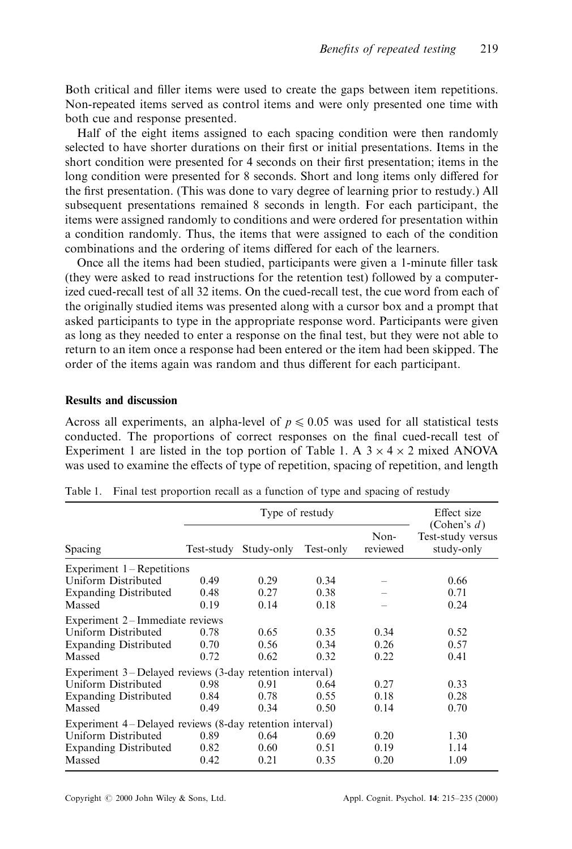Both critical and filler items were used to create the gaps between item repetitions. Non-repeated items served as control items and were only presented one time with both cue and response presented.

Half of the eight items assigned to each spacing condition were then randomly selected to have shorter durations on their first or initial presentations. Items in the short condition were presented for 4 seconds on their first presentation; items in the long condition were presented for 8 seconds. Short and long items only differed for the first presentation. (This was done to vary degree of learning prior to restudy.) All subsequent presentations remained 8 seconds in length. For each participant, the items were assigned randomly to conditions and were ordered for presentation within a condition randomly. Thus, the items that were assigned to each of the condition combinations and the ordering of items differed for each of the learners.

Once all the items had been studied, participants were given a 1-minute filler task (they were asked to read instructions for the retention test) followed by a computerized cued-recall test of all 32 items. On the cued-recall test, the cue word from each of the originally studied items was presented along with a cursor box and a prompt that asked participants to type in the appropriate response word. Participants were given as long as they needed to enter a response on the final test, but they were not able to return to an item once a response had been entered or the item had been skipped. The order of the items again was random and thus different for each participant.

## Results and discussion

Across all experiments, an alpha-level of  $p\leq 0.05$  was used for all statistical tests conducted. The proportions of correct responses on the final cued-recall test of Experiment 1 are listed in the top portion of Table 1. A  $3 \times 4 \times 2$  mixed ANOVA was used to examine the effects of type of repetition, spacing of repetition, and length

| Spacing                                                 | Type of restudy |            |           |                  | Effect size                                       |
|---------------------------------------------------------|-----------------|------------|-----------|------------------|---------------------------------------------------|
|                                                         | Test-study      | Study-only | Test-only | Non-<br>reviewed | (Cohen's $d$ )<br>Test-study versus<br>study-only |
| Experiment $1 -$ Repetitions                            |                 |            |           |                  |                                                   |
| Uniform Distributed                                     | 0.49            | 0.29       | 0.34      |                  | 0.66                                              |
| <b>Expanding Distributed</b>                            | 0.48            | 0.27       | 0.38      |                  | 0.71                                              |
| Massed                                                  | 0.19            | 0.14       | 0.18      |                  | 0.24                                              |
| Experiment 2–Immediate reviews                          |                 |            |           |                  |                                                   |
| <b>Uniform Distributed</b>                              | 0.78            | 0.65       | 0.35      | 0.34             | 0.52                                              |
| <b>Expanding Distributed</b>                            | 0.70            | 0.56       | 0.34      | 0.26             | 0.57                                              |
| Massed                                                  | 0.72            | 0.62       | 0.32      | 0.22             | 0.41                                              |
| Experiment 3–Delayed reviews (3-day retention interval) |                 |            |           |                  |                                                   |
| Uniform Distributed                                     | 0.98            | 0.91       | 0.64      | 0.27             | 0.33                                              |
| <b>Expanding Distributed</b>                            | 0.84            | 0.78       | 0.55      | 0.18             | 0.28                                              |
| Massed                                                  | 0.49            | 0.34       | 0.50      | 0.14             | 0.70                                              |
| Experiment 4–Delayed reviews (8-day retention interval) |                 |            |           |                  |                                                   |
| Uniform Distributed                                     | 0.89            | 0.64       | 0.69      | 0.20             | 1.30                                              |
| <b>Expanding Distributed</b>                            | 0.82            | 0.60       | 0.51      | 0.19             | 1.14                                              |
| Massed                                                  | 0.42            | 0.21       | 0.35      | 0.20             | 1.09                                              |
|                                                         |                 |            |           |                  |                                                   |

Table 1. Final test proportion recall as a function of type and spacing of restudy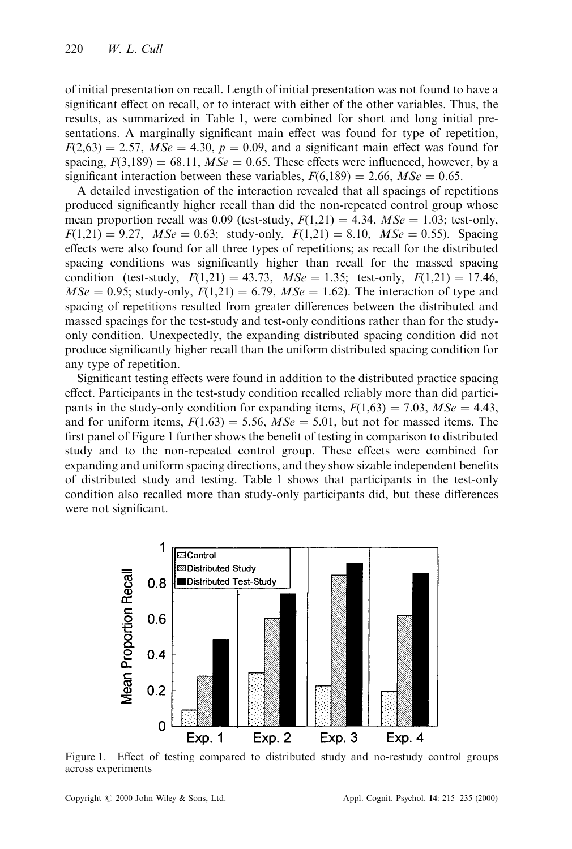of initial presentation on recall. Length of initial presentation was not found to have a significant effect on recall, or to interact with either of the other variables. Thus, the results, as summarized in Table 1, were combined for short and long initial presentations. A marginally significant main effect was found for type of repetition,  $F(2,63) = 2.57$ ,  $MSe = 4.30$ ,  $p = 0.09$ , and a significant main effect was found for spacing,  $F(3,189) = 68.11$ ,  $MSe = 0.65$ . These effects were influenced, however, by a significant interaction between these variables,  $F(6,189) = 2.66$ ,  $MSe = 0.65$ .

A detailed investigation of the interaction revealed that all spacings of repetitions produced significantly higher recall than did the non-repeated control group whose mean proportion recall was 0.09 (test-study,  $F(1,21) = 4.34$ ,  $MSe = 1.03$ ; test-only,  $F(1,21) = 9.27$ ,  $MSe = 0.63$ ; study-only,  $F(1,21) = 8.10$ ,  $MSe = 0.55$ ). Spacing effects were also found for all three types of repetitions; as recall for the distributed spacing conditions was significantly higher than recall for the massed spacing condition (test-study,  $F(1,21) = 43.73$ ,  $MSe = 1.35$ ; test-only,  $F(1,21) = 17.46$ ,  $MSe = 0.95$ ; study-only,  $F(1,21) = 6.79$ ,  $MSe = 1.62$ ). The interaction of type and spacing of repetitions resulted from greater differences between the distributed and massed spacings for the test-study and test-only conditions rather than for the studyonly condition. Unexpectedly, the expanding distributed spacing condition did not produce significantly higher recall than the uniform distributed spacing condition for any type of repetition.

Significant testing effects were found in addition to the distributed practice spacing effect. Participants in the test-study condition recalled reliably more than did participants in the study-only condition for expanding items,  $F(1,63) = 7.03$ ,  $MSe = 4.43$ , and for uniform items,  $F(1,63) = 5.56$ ,  $MSe = 5.01$ , but not for massed items. The first panel of Figure 1 further shows the benefit of testing in comparison to distributed study and to the non-repeated control group. These effects were combined for expanding and uniform spacing directions, and they show sizable independent benefits of distributed study and testing. Table 1 shows that participants in the test-only condition also recalled more than study-only participants did, but these differences were not significant.



Figure 1. Effect of testing compared to distributed study and no-restudy control groups across experiments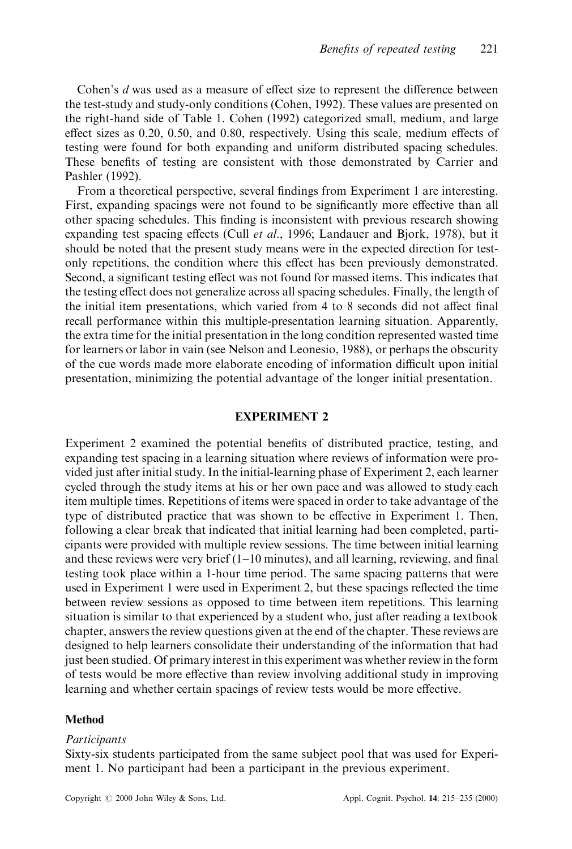Cohen's  $d$  was used as a measure of effect size to represent the difference between the test-study and study-only conditions (Cohen, 1992). These values are presented on the right-hand side of Table 1. Cohen (1992) categorized small, medium, and large effect sizes as  $0.20$ ,  $0.50$ , and  $0.80$ , respectively. Using this scale, medium effects of testing were found for both expanding and uniform distributed spacing schedules. These benefits of testing are consistent with those demonstrated by Carrier and Pashler (1992).

From a theoretical perspective, several findings from Experiment 1 are interesting. First, expanding spacings were not found to be significantly more effective than all other spacing schedules. This finding is inconsistent with previous research showing expanding test spacing effects (Cull *et al.*, 1996; Landauer and Bjork, 1978), but it should be noted that the present study means were in the expected direction for testonly repetitions, the condition where this effect has been previously demonstrated. Second, a significant testing effect was not found for massed items. This indicates that the testing effect does not generalize across all spacing schedules. Finally, the length of the initial item presentations, which varied from 4 to 8 seconds did not affect final recall performance within this multiple-presentation learning situation. Apparently, the extra time for the initial presentation in the long condition represented wasted time for learners or labor in vain (see Nelson and Leonesio, 1988), or perhaps the obscurity of the cue words made more elaborate encoding of information difficult upon initial presentation, minimizing the potential advantage of the longer initial presentation.

#### EXPERIMENT 2

Experiment 2 examined the potential benefits of distributed practice, testing, and expanding test spacing in a learning situation where reviews of information were provided just after initial study. In the initial-learning phase of Experiment 2, each learner cycled through the study items at his or her own pace and was allowed to study each item multiple times. Repetitions of items were spaced in order to take advantage of the type of distributed practice that was shown to be effective in Experiment 1. Then, following a clear break that indicated that initial learning had been completed, participants were provided with multiple review sessions. The time between initial learning and these reviews were very brief  $(1-10 \text{ minutes})$ , and all learning, reviewing, and final testing took place within a 1-hour time period. The same spacing patterns that were used in Experiment 1 were used in Experiment 2, but these spacings reflected the time between review sessions as opposed to time between item repetitions. This learning situation is similar to that experienced by a student who, just after reading a textbook chapter, answers the review questions given at the end of the chapter. These reviews are designed to help learners consolidate their understanding of the information that had just been studied. Of primary interest in this experiment was whether review in the form of tests would be more effective than review involving additional study in improving learning and whether certain spacings of review tests would be more effective.

## Method

#### Participants

Sixty-six students participated from the same subject pool that was used for Experiment 1. No participant had been a participant in the previous experiment.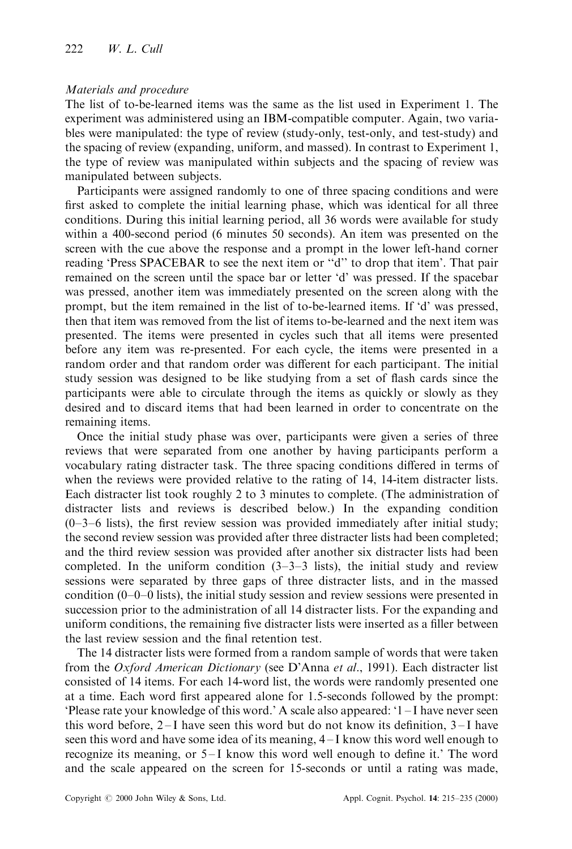## Materials and procedure

The list of to-be-learned items was the same as the list used in Experiment 1. The experiment was administered using an IBM-compatible computer. Again, two variables were manipulated: the type of review (study-only, test-only, and test-study) and the spacing of review (expanding, uniform, and massed). In contrast to Experiment 1, the type of review was manipulated within subjects and the spacing of review was manipulated between subjects.

Participants were assigned randomly to one of three spacing conditions and were first asked to complete the initial learning phase, which was identical for all three conditions. During this initial learning period, all 36 words were available for study within a 400-second period (6 minutes 50 seconds). An item was presented on the screen with the cue above the response and a prompt in the lower left-hand corner reading 'Press SPACEBAR to see the next item or "d" to drop that item'. That pair remained on the screen until the space bar or letter `d' was pressed. If the spacebar was pressed, another item was immediately presented on the screen along with the prompt, but the item remained in the list of to-be-learned items. If `d' was pressed, then that item was removed from the list of items to-be-learned and the next item was presented. The items were presented in cycles such that all items were presented before any item was re-presented. For each cycle, the items were presented in a random order and that random order was different for each participant. The initial study session was designed to be like studying from a set of flash cards since the participants were able to circulate through the items as quickly or slowly as they desired and to discard items that had been learned in order to concentrate on the remaining items.

Once the initial study phase was over, participants were given a series of three reviews that were separated from one another by having participants perform a vocabulary rating distracter task. The three spacing conditions differed in terms of when the reviews were provided relative to the rating of 14, 14-item distracter lists. Each distracter list took roughly 2 to 3 minutes to complete. (The administration of distracter lists and reviews is described below.) In the expanding condition  $(0-3-6$  lists), the first review session was provided immediately after initial study; the second review session was provided after three distracter lists had been completed; and the third review session was provided after another six distracter lists had been completed. In the uniform condition  $(3-3-3$  lists), the initial study and review sessions were separated by three gaps of three distracter lists, and in the massed condition  $(0-0-0$  lists), the initial study session and review sessions were presented in succession prior to the administration of all 14 distracter lists. For the expanding and uniform conditions, the remaining five distracter lists were inserted as a filler between the last review session and the final retention test.

The 14 distracter lists were formed from a random sample of words that were taken from the Oxford American Dictionary (see D'Anna et al., 1991). Each distracter list consisted of 14 items. For each 14-word list, the words were randomly presented one at a time. Each word first appeared alone for 1.5-seconds followed by the prompt: 'Please rate your knowledge of this word.' A scale also appeared:  $1 - I$  have never seen this word before,  $2-I$  have seen this word but do not know its definition,  $3-I$  have seen this word and have some idea of its meaning,  $4-I$  know this word well enough to recognize its meaning, or  $5-I$  know this word well enough to define it.' The word and the scale appeared on the screen for 15-seconds or until a rating was made,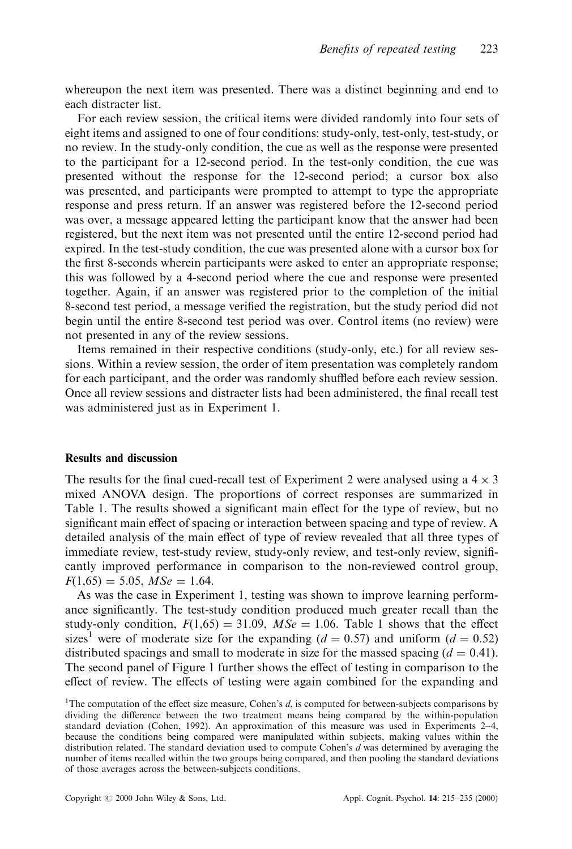whereupon the next item was presented. There was a distinct beginning and end to each distracter list.

For each review session, the critical items were divided randomly into four sets of eight items and assigned to one of four conditions: study-only, test-only, test-study, or no review. In the study-only condition, the cue as well as the response were presented to the participant for a 12-second period. In the test-only condition, the cue was presented without the response for the 12-second period; a cursor box also was presented, and participants were prompted to attempt to type the appropriate response and press return. If an answer was registered before the 12-second period was over, a message appeared letting the participant know that the answer had been registered, but the next item was not presented until the entire 12-second period had expired. In the test-study condition, the cue was presented alone with a cursor box for the first 8-seconds wherein participants were asked to enter an appropriate response; this was followed by a 4-second period where the cue and response were presented together. Again, if an answer was registered prior to the completion of the initial 8-second test period, a message verified the registration, but the study period did not begin until the entire 8-second test period was over. Control items (no review) were not presented in any of the review sessions.

Items remained in their respective conditions (study-only, etc.) for all review sessions. Within a review session, the order of item presentation was completely random for each participant, and the order was randomly shuffled before each review session. Once all review sessions and distracter lists had been administered, the final recall test was administered just as in Experiment 1.

## Results and discussion

The results for the final cued-recall test of Experiment 2 were analysed using a  $4 \times 3$ mixed ANOVA design. The proportions of correct responses are summarized in Table 1. The results showed a significant main effect for the type of review, but no significant main effect of spacing or interaction between spacing and type of review. A detailed analysis of the main effect of type of review revealed that all three types of immediate review, test-study review, study-only review, and test-only review, significantly improved performance in comparison to the non-reviewed control group,  $F(1,65) = 5.05$ ,  $MSe = 1.64$ .

As was the case in Experiment 1, testing was shown to improve learning performance significantly. The test-study condition produced much greater recall than the study-only condition,  $F(1,65) = 31.09$ ,  $MSe = 1.06$ . Table 1 shows that the effect sizes<sup>1</sup> were of moderate size for the expanding ( $d = 0.57$ ) and uniform ( $d = 0.52$ ) distributed spacings and small to moderate in size for the massed spacing  $(d = 0.41)$ . The second panel of Figure 1 further shows the effect of testing in comparison to the effect of review. The effects of testing were again combined for the expanding and

<sup>&</sup>lt;sup>1</sup>The computation of the effect size measure, Cohen's  $d$ , is computed for between-subjects comparisons by dividing the difference between the two treatment means being compared by the within-population standard deviation (Cohen, 1992). An approximation of this measure was used in Experiments 2-4, because the conditions being compared were manipulated within subjects, making values within the distribution related. The standard deviation used to compute Cohen's d was determined by averaging the number of items recalled within the two groups being compared, and then pooling the standard deviations of those averages across the between-subjects conditions.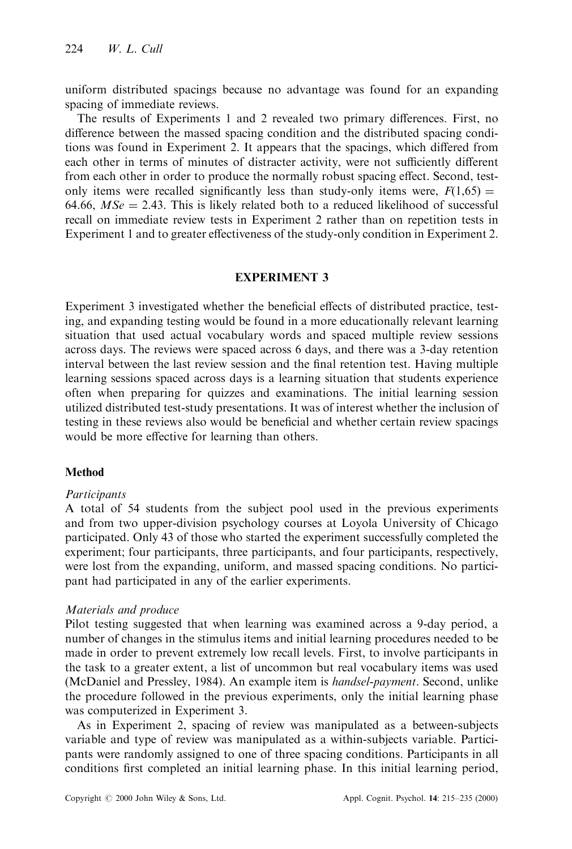uniform distributed spacings because no advantage was found for an expanding spacing of immediate reviews.

The results of Experiments 1 and 2 revealed two primary differences. First, no difference between the massed spacing condition and the distributed spacing conditions was found in Experiment 2. It appears that the spacings, which differed from each other in terms of minutes of distracter activity, were not sufficiently different from each other in order to produce the normally robust spacing effect. Second, testonly items were recalled significantly less than study-only items were,  $F(1,65)$  = 64.66,  $MSe = 2.43$ . This is likely related both to a reduced likelihood of successful recall on immediate review tests in Experiment 2 rather than on repetition tests in Experiment 1 and to greater effectiveness of the study-only condition in Experiment 2.

## EXPERIMENT 3

Experiment 3 investigated whether the beneficial effects of distributed practice, testing, and expanding testing would be found in a more educationally relevant learning situation that used actual vocabulary words and spaced multiple review sessions across days. The reviews were spaced across 6 days, and there was a 3-day retention interval between the last review session and the final retention test. Having multiple learning sessions spaced across days is a learning situation that students experience often when preparing for quizzes and examinations. The initial learning session utilized distributed test-study presentations. It was of interest whether the inclusion of testing in these reviews also would be beneficial and whether certain review spacings would be more effective for learning than others.

## Method

## **Participants**

A total of 54 students from the subject pool used in the previous experiments and from two upper-division psychology courses at Loyola University of Chicago participated. Only 43 of those who started the experiment successfully completed the experiment; four participants, three participants, and four participants, respectively, were lost from the expanding, uniform, and massed spacing conditions. No participant had participated in any of the earlier experiments.

## Materials and produce

Pilot testing suggested that when learning was examined across a 9-day period, a number of changes in the stimulus items and initial learning procedures needed to be made in order to prevent extremely low recall levels. First, to involve participants in the task to a greater extent, a list of uncommon but real vocabulary items was used (McDaniel and Pressley, 1984). An example item is handsel-payment. Second, unlike the procedure followed in the previous experiments, only the initial learning phase was computerized in Experiment 3.

As in Experiment 2, spacing of review was manipulated as a between-subjects variable and type of review was manipulated as a within-subjects variable. Participants were randomly assigned to one of three spacing conditions. Participants in all conditions first completed an initial learning phase. In this initial learning period,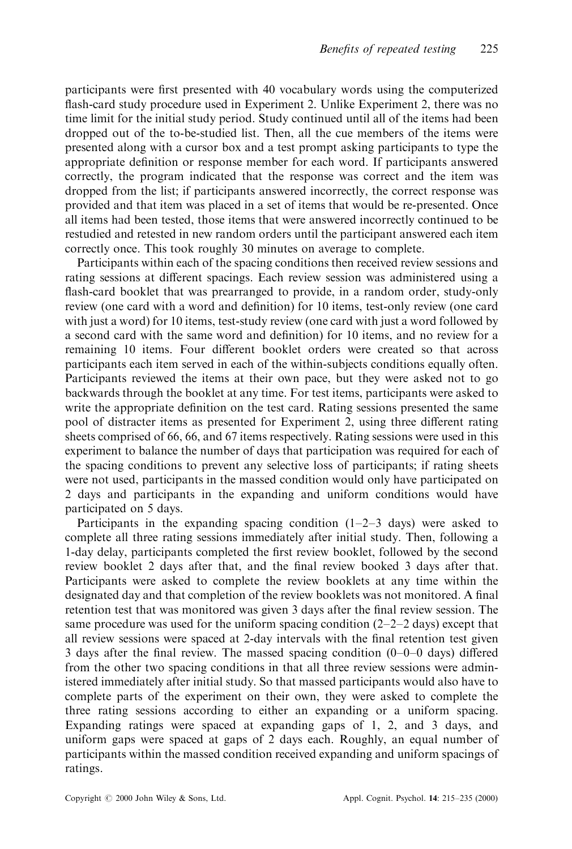participants were first presented with 40 vocabulary words using the computerized flash-card study procedure used in Experiment 2. Unlike Experiment 2, there was no time limit for the initial study period. Study continued until all of the items had been dropped out of the to-be-studied list. Then, all the cue members of the items were presented along with a cursor box and a test prompt asking participants to type the appropriate definition or response member for each word. If participants answered correctly, the program indicated that the response was correct and the item was dropped from the list; if participants answered incorrectly, the correct response was provided and that item was placed in a set of items that would be re-presented. Once all items had been tested, those items that were answered incorrectly continued to be restudied and retested in new random orders until the participant answered each item correctly once. This took roughly 30 minutes on average to complete.

Participants within each of the spacing conditions then received review sessions and rating sessions at different spacings. Each review session was administered using a flash-card booklet that was prearranged to provide, in a random order, study-only review (one card with a word and definition) for 10 items, test-only review (one card with just a word) for 10 items, test-study review (one card with just a word followed by a second card with the same word and definition) for 10 items, and no review for a remaining 10 items. Four different booklet orders were created so that across participants each item served in each of the within-subjects conditions equally often. Participants reviewed the items at their own pace, but they were asked not to go backwards through the booklet at any time. For test items, participants were asked to write the appropriate definition on the test card. Rating sessions presented the same pool of distracter items as presented for Experiment 2, using three different rating sheets comprised of 66, 66, and 67 items respectively. Rating sessions were used in this experiment to balance the number of days that participation was required for each of the spacing conditions to prevent any selective loss of participants; if rating sheets were not used, participants in the massed condition would only have participated on 2 days and participants in the expanding and uniform conditions would have participated on 5 days.

Participants in the expanding spacing condition  $(1-2-3)$  days) were asked to complete all three rating sessions immediately after initial study. Then, following a 1-day delay, participants completed the first review booklet, followed by the second review booklet 2 days after that, and the final review booked 3 days after that. Participants were asked to complete the review booklets at any time within the designated day and that completion of the review booklets was not monitored. A final retention test that was monitored was given 3 days after the final review session. The same procedure was used for the uniform spacing condition  $(2-2-2)$  days) except that all review sessions were spaced at 2-day intervals with the final retention test given 3 days after the final review. The massed spacing condition  $(0-0-0)$  days) differed from the other two spacing conditions in that all three review sessions were administered immediately after initial study. So that massed participants would also have to complete parts of the experiment on their own, they were asked to complete the three rating sessions according to either an expanding or a uniform spacing. Expanding ratings were spaced at expanding gaps of 1, 2, and 3 days, and uniform gaps were spaced at gaps of 2 days each. Roughly, an equal number of participants within the massed condition received expanding and uniform spacings of ratings.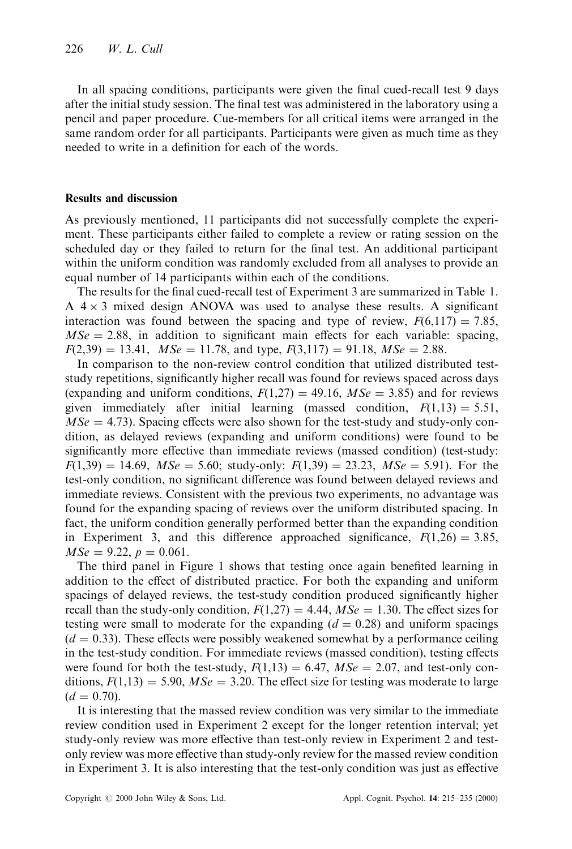In all spacing conditions, participants were given the final cued-recall test 9 days after the initial study session. The final test was administered in the laboratory using a pencil and paper procedure. Cue-members for all critical items were arranged in the same random order for all participants. Participants were given as much time as they needed to write in a definition for each of the words.

## Results and discussion

As previously mentioned, 11 participants did not successfully complete the experiment. These participants either failed to complete a review or rating session on the scheduled day or they failed to return for the final test. An additional participant within the uniform condition was randomly excluded from all analyses to provide an equal number of 14 participants within each of the conditions.

The results for the final cued-recall test of Experiment 3 are summarized in Table 1.  $A$  4  $\times$  3 mixed design ANOVA was used to analyse these results. A significant interaction was found between the spacing and type of review,  $F(6,117) = 7.85$ ,  $MSe = 2.88$ , in addition to significant main effects for each variable: spacing,  $F(2,39) = 13.41$ ,  $MSe = 11.78$ , and type,  $F(3,117) = 91.18$ ,  $MSe = 2.88$ .

In comparison to the non-review control condition that utilized distributed teststudy repetitions, significantly higher recall was found for reviews spaced across days (expanding and uniform conditions,  $F(1,27) = 49.16$ ,  $MSe = 3.85$ ) and for reviews given immediately after initial learning (massed condition,  $F(1,13) = 5.51$ ,  $MSe = 4.73$ ). Spacing effects were also shown for the test-study and study-only condition, as delayed reviews (expanding and uniform conditions) were found to be significantly more effective than immediate reviews (massed condition) (test-study:  $F(1,39) = 14.69$ ,  $MSe = 5.60$ ; study-only:  $F(1,39) = 23.23$ ,  $MSe = 5.91$ ). For the test-only condition, no significant difference was found between delayed reviews and immediate reviews. Consistent with the previous two experiments, no advantage was found for the expanding spacing of reviews over the uniform distributed spacing. In fact, the uniform condition generally performed better than the expanding condition in Experiment 3, and this difference approached significance,  $F(1,26) = 3.85$ ,  $MSe = 9.22$ ,  $p = 0.061$ .

The third panel in Figure 1 shows that testing once again benefited learning in addition to the effect of distributed practice. For both the expanding and uniform spacings of delayed reviews, the test-study condition produced significantly higher recall than the study-only condition,  $F(1,27) = 4.44$ ,  $MSe = 1.30$ . The effect sizes for testing were small to moderate for the expanding  $(d = 0.28)$  and uniform spacings  $(d = 0.33)$ . These effects were possibly weakened somewhat by a performance ceiling in the test-study condition. For immediate reviews (massed condition), testing effects were found for both the test-study,  $F(1,13) = 6.47$ ,  $MSe = 2.07$ , and test-only conditions,  $F(1,13) = 5.90$ ,  $MSe = 3.20$ . The effect size for testing was moderate to large  $(d = 0.70).$ 

It is interesting that the massed review condition was very similar to the immediate review condition used in Experiment 2 except for the longer retention interval; yet study-only review was more effective than test-only review in Experiment 2 and testonly review was more effective than study-only review for the massed review condition in Experiment 3. It is also interesting that the test-only condition was just as effective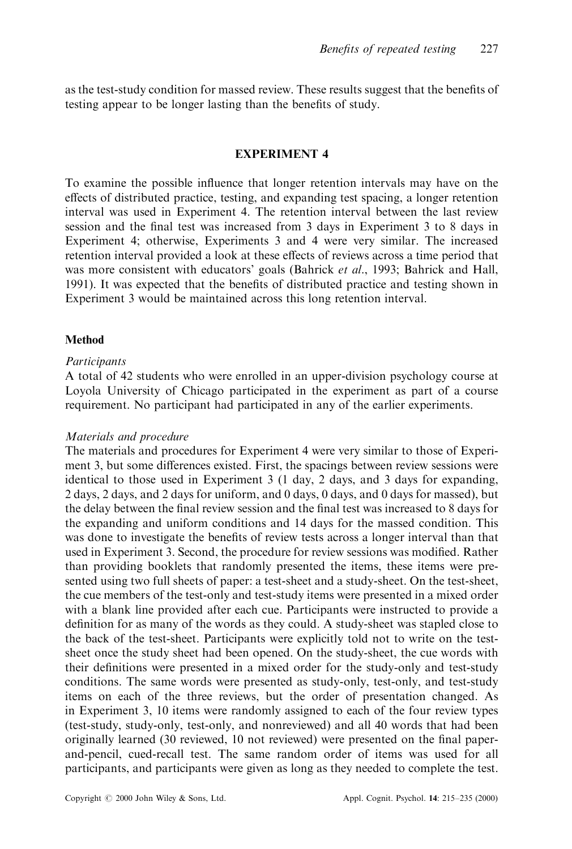as the test-study condition for massed review. These results suggest that the benefits of testing appear to be longer lasting than the benefits of study.

## EXPERIMENT 4

To examine the possible influence that longer retention intervals may have on the effects of distributed practice, testing, and expanding test spacing, a longer retention interval was used in Experiment 4. The retention interval between the last review session and the final test was increased from 3 days in Experiment 3 to 8 days in Experiment 4; otherwise, Experiments 3 and 4 were very similar. The increased retention interval provided a look at these effects of reviews across a time period that was more consistent with educators' goals (Bahrick *et al.*, 1993; Bahrick and Hall, 1991). It was expected that the benefits of distributed practice and testing shown in Experiment 3 would be maintained across this long retention interval.

## **Method**

## **Participants**

A total of 42 students who were enrolled in an upper-division psychology course at Loyola University of Chicago participated in the experiment as part of a course requirement. No participant had participated in any of the earlier experiments.

## Materials and procedure

The materials and procedures for Experiment 4 were very similar to those of Experiment 3, but some differences existed. First, the spacings between review sessions were identical to those used in Experiment 3 (1 day, 2 days, and 3 days for expanding, 2 days, 2 days, and 2 days for uniform, and 0 days, 0 days, and 0 days for massed), but the delay between the final review session and the final test was increased to 8 days for the expanding and uniform conditions and 14 days for the massed condition. This was done to investigate the benefits of review tests across a longer interval than that used in Experiment 3. Second, the procedure for review sessions was modified. Rather than providing booklets that randomly presented the items, these items were presented using two full sheets of paper: a test-sheet and a study-sheet. On the test-sheet, the cue members of the test-only and test-study items were presented in a mixed order with a blank line provided after each cue. Participants were instructed to provide a definition for as many of the words as they could. A study-sheet was stapled close to the back of the test-sheet. Participants were explicitly told not to write on the testsheet once the study sheet had been opened. On the study-sheet, the cue words with their definitions were presented in a mixed order for the study-only and test-study conditions. The same words were presented as study-only, test-only, and test-study items on each of the three reviews, but the order of presentation changed. As in Experiment 3, 10 items were randomly assigned to each of the four review types (test-study, study-only, test-only, and nonreviewed) and all 40 words that had been originally learned (30 reviewed, 10 not reviewed) were presented on the final paperand-pencil, cued-recall test. The same random order of items was used for all participants, and participants were given as long as they needed to complete the test.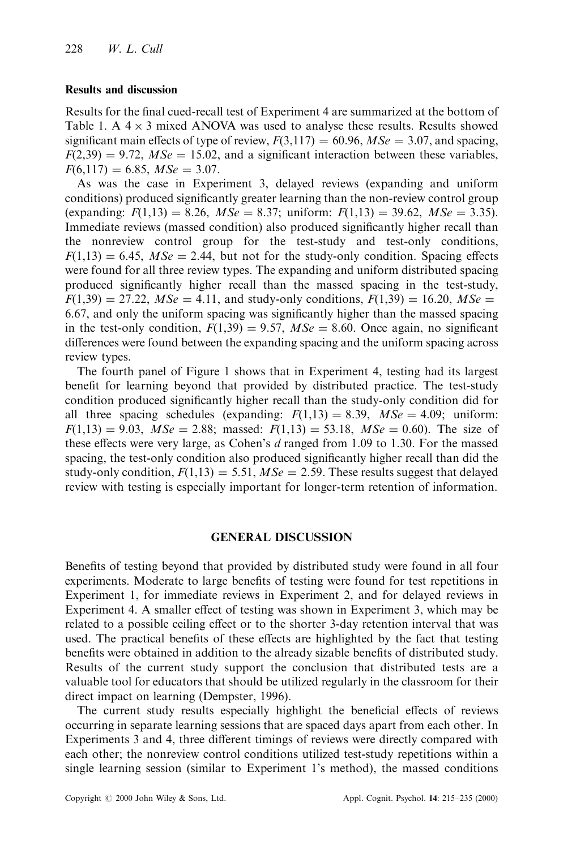#### Results and discussion

Results for the final cued-recall test of Experiment 4 are summarized at the bottom of Table 1. A  $4 \times 3$  mixed ANOVA was used to analyse these results. Results showed significant main effects of type of review,  $F(3,117) = 60.96$ ,  $MSe = 3.07$ , and spacing,  $F(2,39) = 9.72$ ,  $MSe = 15.02$ , and a significant interaction between these variables,  $F(6,117) = 6.85$ ,  $MSe = 3.07$ .

As was the case in Experiment 3, delayed reviews (expanding and uniform conditions) produced significantly greater learning than the non-review control group (expanding:  $F(1,13) = 8.26$ ,  $MSe = 8.37$ ; uniform:  $F(1,13) = 39.62$ ,  $MSe = 3.35$ ). Immediate reviews (massed condition) also produced significantly higher recall than the nonreview control group for the test-study and test-only conditions,  $F(1,13) = 6.45$ ,  $MSe = 2.44$ , but not for the study-only condition. Spacing effects were found for all three review types. The expanding and uniform distributed spacing produced significantly higher recall than the massed spacing in the test-study,  $F(1,39) = 27.22$ ,  $MSe = 4.11$ , and study-only conditions,  $F(1,39) = 16.20$ ,  $MSe =$ 6.67, and only the uniform spacing was significantly higher than the massed spacing in the test-only condition,  $F(1,39) = 9.57$ ,  $MSe = 8.60$ . Once again, no significant differences were found between the expanding spacing and the uniform spacing across review types.

The fourth panel of Figure 1 shows that in Experiment 4, testing had its largest benefit for learning beyond that provided by distributed practice. The test-study condition produced significantly higher recall than the study-only condition did for all three spacing schedules (expanding:  $F(1,13) = 8.39$ ,  $MSe = 4.09$ ; uniform:  $F(1,13) = 9.03$ ,  $MSe = 2.88$ ; massed:  $F(1,13) = 53.18$ ,  $MSe = 0.60$ ). The size of these effects were very large, as Cohen's  $d$  ranged from 1.09 to 1.30. For the massed spacing, the test-only condition also produced significantly higher recall than did the study-only condition,  $F(1,13) = 5.51$ ,  $MSe = 2.59$ . These results suggest that delayed review with testing is especially important for longer-term retention of information.

#### GENERAL DISCUSSION

Benefits of testing beyond that provided by distributed study were found in all four experiments. Moderate to large benefits of testing were found for test repetitions in Experiment 1, for immediate reviews in Experiment 2, and for delayed reviews in Experiment 4. A smaller effect of testing was shown in Experiment 3, which may be related to a possible ceiling effect or to the shorter 3-day retention interval that was used. The practical benefits of these effects are highlighted by the fact that testing benefits were obtained in addition to the already sizable benefits of distributed study. Results of the current study support the conclusion that distributed tests are a valuable tool for educators that should be utilized regularly in the classroom for their direct impact on learning (Dempster, 1996).

The current study results especially highlight the beneficial effects of reviews occurring in separate learning sessions that are spaced days apart from each other. In Experiments 3 and 4, three different timings of reviews were directly compared with each other; the nonreview control conditions utilized test-study repetitions within a single learning session (similar to Experiment 1's method), the massed conditions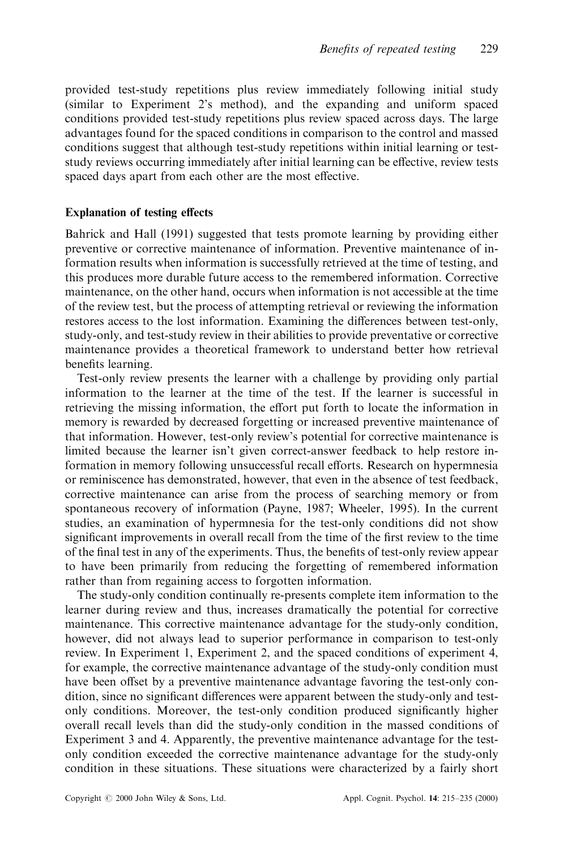provided test-study repetitions plus review immediately following initial study (similar to Experiment 2's method), and the expanding and uniform spaced conditions provided test-study repetitions plus review spaced across days. The large advantages found for the spaced conditions in comparison to the control and massed conditions suggest that although test-study repetitions within initial learning or teststudy reviews occurring immediately after initial learning can be effective, review tests spaced days apart from each other are the most effective.

## Explanation of testing effects

Bahrick and Hall (1991) suggested that tests promote learning by providing either preventive or corrective maintenance of information. Preventive maintenance of information results when information is successfully retrieved at the time of testing, and this produces more durable future access to the remembered information. Corrective maintenance, on the other hand, occurs when information is not accessible at the time of the review test, but the process of attempting retrieval or reviewing the information restores access to the lost information. Examining the differences between test-only, study-only, and test-study review in their abilities to provide preventative or corrective maintenance provides a theoretical framework to understand better how retrieval benefits learning.

Test-only review presents the learner with a challenge by providing only partial information to the learner at the time of the test. If the learner is successful in retrieving the missing information, the effort put forth to locate the information in memory is rewarded by decreased forgetting or increased preventive maintenance of that information. However, test-only review's potential for corrective maintenance is limited because the learner isn't given correct-answer feedback to help restore information in memory following unsuccessful recall efforts. Research on hypermnesia or reminiscence has demonstrated, however, that even in the absence of test feedback, corrective maintenance can arise from the process of searching memory or from spontaneous recovery of information (Payne, 1987; Wheeler, 1995). In the current studies, an examination of hypermnesia for the test-only conditions did not show significant improvements in overall recall from the time of the first review to the time of the final test in any of the experiments. Thus, the benefits of test-only review appear to have been primarily from reducing the forgetting of remembered information rather than from regaining access to forgotten information.

The study-only condition continually re-presents complete item information to the learner during review and thus, increases dramatically the potential for corrective maintenance. This corrective maintenance advantage for the study-only condition, however, did not always lead to superior performance in comparison to test-only review. In Experiment 1, Experiment 2, and the spaced conditions of experiment 4, for example, the corrective maintenance advantage of the study-only condition must have been offset by a preventive maintenance advantage favoring the test-only condition, since no significant differences were apparent between the study-only and testonly conditions. Moreover, the test-only condition produced significantly higher overall recall levels than did the study-only condition in the massed conditions of Experiment 3 and 4. Apparently, the preventive maintenance advantage for the testonly condition exceeded the corrective maintenance advantage for the study-only condition in these situations. These situations were characterized by a fairly short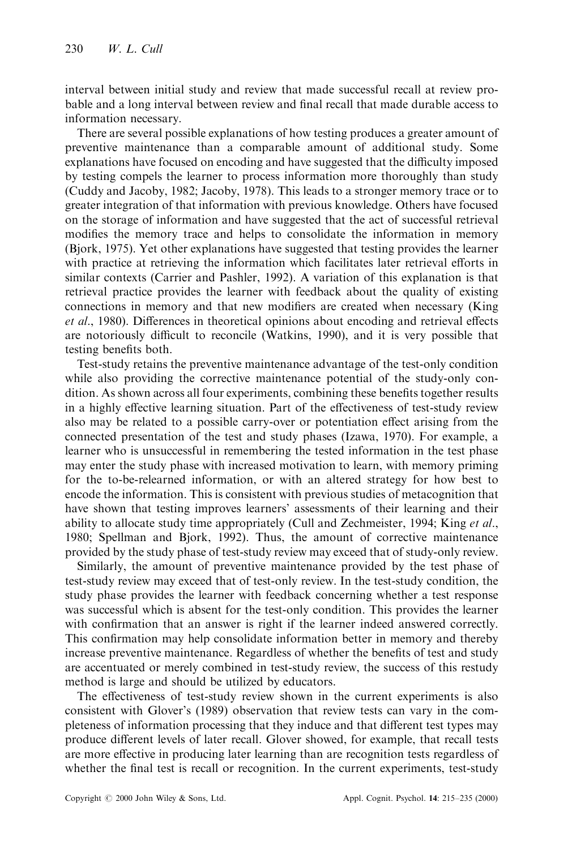interval between initial study and review that made successful recall at review probable and a long interval between review and final recall that made durable access to information necessary.

There are several possible explanations of how testing produces a greater amount of preventive maintenance than a comparable amount of additional study. Some explanations have focused on encoding and have suggested that the difficulty imposed by testing compels the learner to process information more thoroughly than study (Cuddy and Jacoby, 1982; Jacoby, 1978). This leads to a stronger memory trace or to greater integration of that information with previous knowledge. Others have focused on the storage of information and have suggested that the act of successful retrieval modifies the memory trace and helps to consolidate the information in memory (Bjork, 1975). Yet other explanations have suggested that testing provides the learner with practice at retrieving the information which facilitates later retrieval efforts in similar contexts (Carrier and Pashler, 1992). A variation of this explanation is that retrieval practice provides the learner with feedback about the quality of existing connections in memory and that new modifiers are created when necessary (King et al., 1980). Differences in theoretical opinions about encoding and retrieval effects are notoriously difficult to reconcile (Watkins, 1990), and it is very possible that testing benefits both.

Test-study retains the preventive maintenance advantage of the test-only condition while also providing the corrective maintenance potential of the study-only condition. As shown across all four experiments, combining these benefits together results in a highly effective learning situation. Part of the effectiveness of test-study review also may be related to a possible carry-over or potentiation effect arising from the connected presentation of the test and study phases (Izawa, 1970). For example, a learner who is unsuccessful in remembering the tested information in the test phase may enter the study phase with increased motivation to learn, with memory priming for the to-be-relearned information, or with an altered strategy for how best to encode the information. This is consistent with previous studies of metacognition that have shown that testing improves learners' assessments of their learning and their ability to allocate study time appropriately (Cull and Zechmeister, 1994; King  $et al.,$ 1980; Spellman and Bjork, 1992). Thus, the amount of corrective maintenance provided by the study phase of test-study review may exceed that of study-only review.

Similarly, the amount of preventive maintenance provided by the test phase of test-study review may exceed that of test-only review. In the test-study condition, the study phase provides the learner with feedback concerning whether a test response was successful which is absent for the test-only condition. This provides the learner with confirmation that an answer is right if the learner indeed answered correctly. This confirmation may help consolidate information better in memory and thereby increase preventive maintenance. Regardless of whether the benefits of test and study are accentuated or merely combined in test-study review, the success of this restudy method is large and should be utilized by educators.

The effectiveness of test-study review shown in the current experiments is also consistent with Glover's (1989) observation that review tests can vary in the completeness of information processing that they induce and that different test types may produce different levels of later recall. Glover showed, for example, that recall tests are more effective in producing later learning than are recognition tests regardless of whether the final test is recall or recognition. In the current experiments, test-study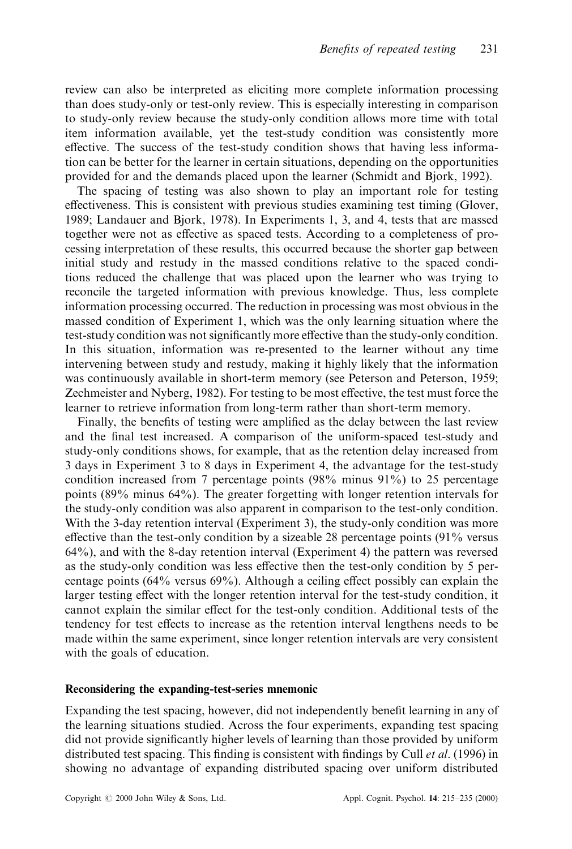review can also be interpreted as eliciting more complete information processing than does study-only or test-only review. This is especially interesting in comparison to study-only review because the study-only condition allows more time with total item information available, yet the test-study condition was consistently more effective. The success of the test-study condition shows that having less information can be better for the learner in certain situations, depending on the opportunities provided for and the demands placed upon the learner (Schmidt and Bjork, 1992).

The spacing of testing was also shown to play an important role for testing effectiveness. This is consistent with previous studies examining test timing (Glover, 1989; Landauer and Bjork, 1978). In Experiments 1, 3, and 4, tests that are massed together were not as effective as spaced tests. According to a completeness of processing interpretation of these results, this occurred because the shorter gap between initial study and restudy in the massed conditions relative to the spaced conditions reduced the challenge that was placed upon the learner who was trying to reconcile the targeted information with previous knowledge. Thus, less complete information processing occurred. The reduction in processing was most obvious in the massed condition of Experiment 1, which was the only learning situation where the test-study condition was not significantly more effective than the study-only condition. In this situation, information was re-presented to the learner without any time intervening between study and restudy, making it highly likely that the information was continuously available in short-term memory (see Peterson and Peterson, 1959; Zechmeister and Nyberg, 1982). For testing to be most effective, the test must force the learner to retrieve information from long-term rather than short-term memory.

Finally, the benefits of testing were amplified as the delay between the last review and the final test increased. A comparison of the uniform-spaced test-study and study-only conditions shows, for example, that as the retention delay increased from 3 days in Experiment 3 to 8 days in Experiment 4, the advantage for the test-study condition increased from 7 percentage points (98% minus 91%) to 25 percentage points (89% minus 64%). The greater forgetting with longer retention intervals for the study-only condition was also apparent in comparison to the test-only condition. With the 3-day retention interval (Experiment 3), the study-only condition was more effective than the test-only condition by a sizeable 28 percentage points  $(91\%$  versus 64%), and with the 8-day retention interval (Experiment 4) the pattern was reversed as the study-only condition was less effective then the test-only condition by 5 percentage points  $(64\%$  versus  $69\%)$ . Although a ceiling effect possibly can explain the larger testing effect with the longer retention interval for the test-study condition, it cannot explain the similar effect for the test-only condition. Additional tests of the tendency for test effects to increase as the retention interval lengthens needs to be made within the same experiment, since longer retention intervals are very consistent with the goals of education.

## Reconsidering the expanding-test-series mnemonic

Expanding the test spacing, however, did not independently benefit learning in any of the learning situations studied. Across the four experiments, expanding test spacing did not provide significantly higher levels of learning than those provided by uniform distributed test spacing. This finding is consistent with findings by Cull *et al.* (1996) in showing no advantage of expanding distributed spacing over uniform distributed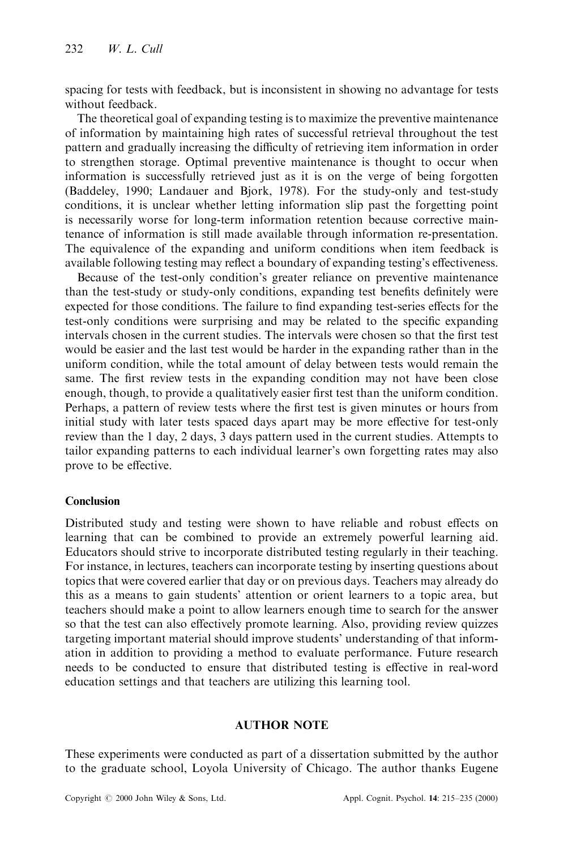spacing for tests with feedback, but is inconsistent in showing no advantage for tests without feedback.

The theoretical goal of expanding testing is to maximize the preventive maintenance of information by maintaining high rates of successful retrieval throughout the test pattern and gradually increasing the difficulty of retrieving item information in order to strengthen storage. Optimal preventive maintenance is thought to occur when information is successfully retrieved just as it is on the verge of being forgotten (Baddeley, 1990; Landauer and Bjork, 1978). For the study-only and test-study conditions, it is unclear whether letting information slip past the forgetting point is necessarily worse for long-term information retention because corrective maintenance of information is still made available through information re-presentation. The equivalence of the expanding and uniform conditions when item feedback is available following testing may reflect a boundary of expanding testing's effectiveness.

Because of the test-only condition's greater reliance on preventive maintenance than the test-study or study-only conditions, expanding test benefits definitely were expected for those conditions. The failure to find expanding test-series effects for the test-only conditions were surprising and may be related to the specific expanding intervals chosen in the current studies. The intervals were chosen so that the first test would be easier and the last test would be harder in the expanding rather than in the uniform condition, while the total amount of delay between tests would remain the same. The first review tests in the expanding condition may not have been close enough, though, to provide a qualitatively easier first test than the uniform condition. Perhaps, a pattern of review tests where the first test is given minutes or hours from initial study with later tests spaced days apart may be more effective for test-only review than the 1 day, 2 days, 3 days pattern used in the current studies. Attempts to tailor expanding patterns to each individual learner's own forgetting rates may also prove to be effective.

## Conclusion

Distributed study and testing were shown to have reliable and robust effects on learning that can be combined to provide an extremely powerful learning aid. Educators should strive to incorporate distributed testing regularly in their teaching. For instance, in lectures, teachers can incorporate testing by inserting questions about topics that were covered earlier that day or on previous days. Teachers may already do this as a means to gain students' attention or orient learners to a topic area, but teachers should make a point to allow learners enough time to search for the answer so that the test can also effectively promote learning. Also, providing review quizzes targeting important material should improve students' understanding of that information in addition to providing a method to evaluate performance. Future research needs to be conducted to ensure that distributed testing is effective in real-word education settings and that teachers are utilizing this learning tool.

## AUTHOR NOTE

These experiments were conducted as part of a dissertation submitted by the author to the graduate school, Loyola University of Chicago. The author thanks Eugene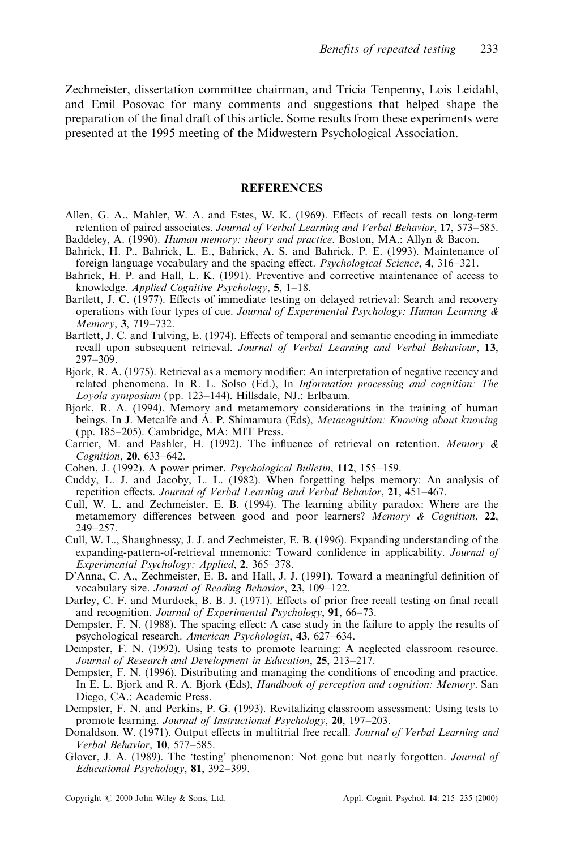Zechmeister, dissertation committee chairman, and Tricia Tenpenny, Lois Leidahl, and Emil Posovac for many comments and suggestions that helped shape the preparation of the final draft of this article. Some results from these experiments were presented at the 1995 meeting of the Midwestern Psychological Association.

#### **REFERENCES**

- Allen, G. A., Mahler, W. A. and Estes, W. K. (1969). Effects of recall tests on long-term retention of paired associates. Journal of Verbal Learning and Verbal Behavior, 17, 573–585. Baddeley, A. (1990). Human memory: theory and practice. Boston, MA.: Allyn & Bacon.
- Bahrick, H. P., Bahrick, L. E., Bahrick, A. S. and Bahrick, P. E. (1993). Maintenance of foreign language vocabulary and the spacing effect. *Psychological Science*, 4, 316–321.
- Bahrick, H. P. and Hall, L. K. (1991). Preventive and corrective maintenance of access to knowledge. Applied Cognitive Psychology,  $5$ , 1–18.
- Bartlett, J. C. (1977). Effects of immediate testing on delayed retrieval: Search and recovery operations with four types of cue. Journal of Experimental Psychology: Human Learning  $\&$ Memory, 3, 719-732.
- Bartlett, J. C. and Tulving, E. (1974). Effects of temporal and semantic encoding in immediate recall upon subsequent retrieval. Journal of Verbal Learning and Verbal Behaviour, 13, 297±309.
- Bjork, R. A. (1975). Retrieval as a memory modifier: An interpretation of negative recency and related phenomena. In R. L. Solso (Ed.), In Information processing and cognition: The Loyola symposium (pp. 123–144). Hillsdale, NJ.: Erlbaum.
- Bjork, R. A. (1994). Memory and metamemory considerations in the training of human beings. In J. Metcalfe and A. P. Shimamura (Eds), Metacognition: Knowing about knowing (pp. 185–205). Cambridge, MA: MIT Press.
- Carrier, M. and Pashler, H. (1992). The influence of retrieval on retention. Memory  $\&$ Cognition, 20, 633-642.
- Cohen, J. (1992). A power primer. *Psychological Bulletin*, 112, 155–159.
- Cuddy, L. J. and Jacoby, L. L. (1982). When forgetting helps memory: An analysis of repetition effects. Journal of Verbal Learning and Verbal Behavior,  $21, 451-467$ .
- Cull, W. L. and Zechmeister, E. B. (1994). The learning ability paradox: Where are the metamemory differences between good and poor learners? Memory  $\&$  Cognition, 22, 249±257.
- Cull, W. L., Shaughnessy, J. J. and Zechmeister, E. B. (1996). Expanding understanding of the expanding-pattern-of-retrieval mnemonic: Toward confidence in applicability. *Journal of* Experimental Psychology: Applied,  $2, 365-378$ .
- D'Anna, C. A., Zechmeister, E. B. and Hall, J. J. (1991). Toward a meaningful definition of vocabulary size. Journal of Reading Behavior, 23, 109-122.
- Darley, C. F. and Murdock, B. B. J. (1971). Effects of prior free recall testing on final recall and recognition. Journal of Experimental Psychology, 91, 66-73.
- Dempster, F. N. (1988). The spacing effect: A case study in the failure to apply the results of psychological research. American Psychologist, 43, 627–634.
- Dempster, F. N. (1992). Using tests to promote learning: A neglected classroom resource. Journal of Research and Development in Education, 25, 213-217.
- Dempster, F. N. (1996). Distributing and managing the conditions of encoding and practice. In E. L. Bjork and R. A. Bjork (Eds), Handbook of perception and cognition: Memory. San Diego, CA.: Academic Press.
- Dempster, F. N. and Perkins, P. G. (1993). Revitalizing classroom assessment: Using tests to promote learning. Journal of Instructional Psychology, 20, 197–203.
- Donaldson, W. (1971). Output effects in multitrial free recall. Journal of Verbal Learning and Verbal Behavior, 10, 577-585.
- Glover, J. A. (1989). The 'testing' phenomenon: Not gone but nearly forgotten. *Journal of* Educational Psychology,  $81, 392-399$ .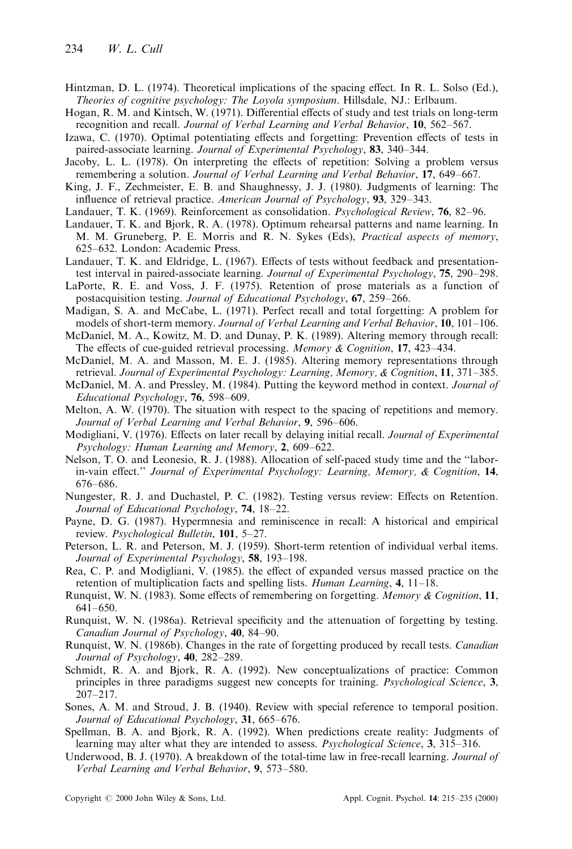- Hintzman, D. L. (1974). Theoretical implications of the spacing effect. In R. L. Solso (Ed.), Theories of cognitive psychology: The Loyola symposium. Hillsdale, NJ.: Erlbaum.
- Hogan, R. M. and Kintsch, W. (1971). Differential effects of study and test trials on long-term recognition and recall. Journal of Verbal Learning and Verbal Behavior, 10, 562-567.
- Izawa, C. (1970). Optimal potentiating effects and forgetting: Prevention effects of tests in paired-associate learning. Journal of Experimental Psychology, 83, 340–344.
- Jacoby, L. L. (1978). On interpreting the effects of repetition: Solving a problem versus remembering a solution. Journal of Verbal Learning and Verbal Behavior, 17, 649–667.
- King, J. F., Zechmeister, E. B. and Shaughnessy, J. J. (1980). Judgments of learning: The influence of retrieval practice. American Journal of Psychology,  $93$ ,  $329-343$ .
- Landauer, T. K. (1969). Reinforcement as consolidation. *Psychological Review*, **76**, 82–96.
- Landauer, T. K. and Bjork, R. A. (1978). Optimum rehearsal patterns and name learning. In M. M. Gruneberg, P. E. Morris and R. N. Sykes (Eds), Practical aspects of memory, 625–632. London: Academic Press.
- Landauer, T. K. and Eldridge, L. (1967). Effects of tests without feedback and presentationtest interval in paired-associate learning. Journal of Experimental Psychology, 75, 290–298.
- LaPorte, R. E. and Voss, J. F. (1975). Retention of prose materials as a function of postacquisition testing. Journal of Educational Psychology, 67, 259–266.
- Madigan, S. A. and McCabe, L. (1971). Perfect recall and total forgetting: A problem for models of short-term memory. Journal of Verbal Learning and Verbal Behavior, 10, 101-106.
- McDaniel, M. A., Kowitz, M. D. and Dunay, P. K. (1989). Altering memory through recall: The effects of cue-guided retrieval processing. Memory  $\&$  Cognition, 17, 423-434.
- McDaniel, M. A. and Masson, M. E. J. (1985). Altering memory representations through retrieval. Journal of Experimental Psychology: Learning, Memory,  $\&$  Cognition, 11, 371–385.
- McDaniel, M. A. and Pressley, M. (1984). Putting the keyword method in context. Journal of Educational Psychology,  $76, 598-609$ .
- Melton, A. W. (1970). The situation with respect to the spacing of repetitions and memory. Journal of Verbal Learning and Verbal Behavior, 9, 596-606.
- Modigliani, V. (1976). Effects on later recall by delaying initial recall. Journal of Experimental  $Psychology: Human Learning and Memory, 2, 609–622.$
- Nelson, T. O. and Leonesio, R. J. (1988). Allocation of self-paced study time and the "laborin-vain effect." Journal of Experimental Psychology: Learning, Memory,  $\&$  Cognition, 14, 676±686.
- Nungester, R. J. and Duchastel, P. C. (1982). Testing versus review: Effects on Retention. Journal of Educational Psychology,  $74$ ,  $18-22$ .
- Payne, D. G. (1987). Hypermnesia and reminiscence in recall: A historical and empirical review. Psychological Bulletin, 101, 5-27.
- Peterson, L. R. and Peterson, M. J. (1959). Short-term retention of individual verbal items. Journal of Experimental Psychology,  $58$ , 193-198.
- Rea, C. P. and Modigliani, V. (1985). the effect of expanded versus massed practice on the retention of multiplication facts and spelling lists. Human Learning,  $4$ , 11–18.
- Runquist, W. N. (1983). Some effects of remembering on forgetting. Memory & Cognition, 11, 641±650.
- Runquist, W. N. (1986a). Retrieval specificity and the attenuation of forgetting by testing. Canadian Journal of Psychology,  $40, 84-90$ .
- Runquist, W. N. (1986b). Changes in the rate of forgetting produced by recall tests. Canadian Journal of Psychology,  $40$ ,  $282-289$ .
- Schmidt, R. A. and Bjork, R. A. (1992). New conceptualizations of practice: Common principles in three paradigms suggest new concepts for training. *Psychological Science*, 3, 207±217.
- Sones, A. M. and Stroud, J. B. (1940). Review with special reference to temporal position. Journal of Educational Psychology, 31, 665-676.
- Spellman, B. A. and Bjork, R. A. (1992). When predictions create reality: Judgments of learning may alter what they are intended to assess. *Psychological Science*, 3, 315–316.
- Underwood, B. J. (1970). A breakdown of the total-time law in free-recall learning. Journal of Verbal Learning and Verbal Behavior, 9, 573-580.